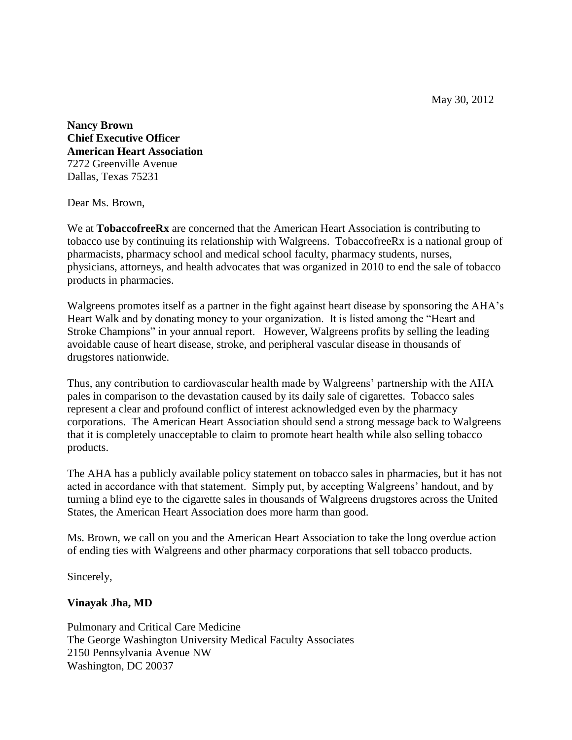May 30, 2012

**Nancy Brown Chief Executive Officer American Heart Association** 7272 Greenville Avenue Dallas, Texas 75231

Dear Ms. Brown,

We at **TobaccofreeRx** are concerned that the American Heart Association is contributing to tobacco use by continuing its relationship with Walgreens. TobaccofreeRx is a national group of pharmacists, pharmacy school and medical school faculty, pharmacy students, nurses, physicians, attorneys, and health advocates that was organized in 2010 to end the sale of tobacco products in pharmacies.

Walgreens promotes itself as a partner in the fight against heart disease by sponsoring the AHA's Heart Walk and by donating money to your organization. It is listed among the "Heart and Stroke Champions" in your annual report. However, Walgreens profits by selling the leading avoidable cause of heart disease, stroke, and peripheral vascular disease in thousands of drugstores nationwide.

Thus, any contribution to cardiovascular health made by Walgreens' partnership with the AHA pales in comparison to the devastation caused by its daily sale of cigarettes. Tobacco sales represent a clear and profound conflict of interest acknowledged even by the pharmacy corporations. The American Heart Association should send a strong message back to Walgreens that it is completely unacceptable to claim to promote heart health while also selling tobacco products.

The AHA has a publicly available policy statement on tobacco sales in pharmacies, but it has not acted in accordance with that statement. Simply put, by accepting Walgreens' handout, and by turning a blind eye to the cigarette sales in thousands of Walgreens drugstores across the United States, the American Heart Association does more harm than good.

Ms. Brown, we call on you and the American Heart Association to take the long overdue action of ending ties with Walgreens and other pharmacy corporations that sell tobacco products.

Sincerely,

# **Vinayak Jha, MD**

Pulmonary and Critical Care Medicine The George Washington University Medical Faculty Associates 2150 Pennsylvania Avenue NW Washington, DC 20037